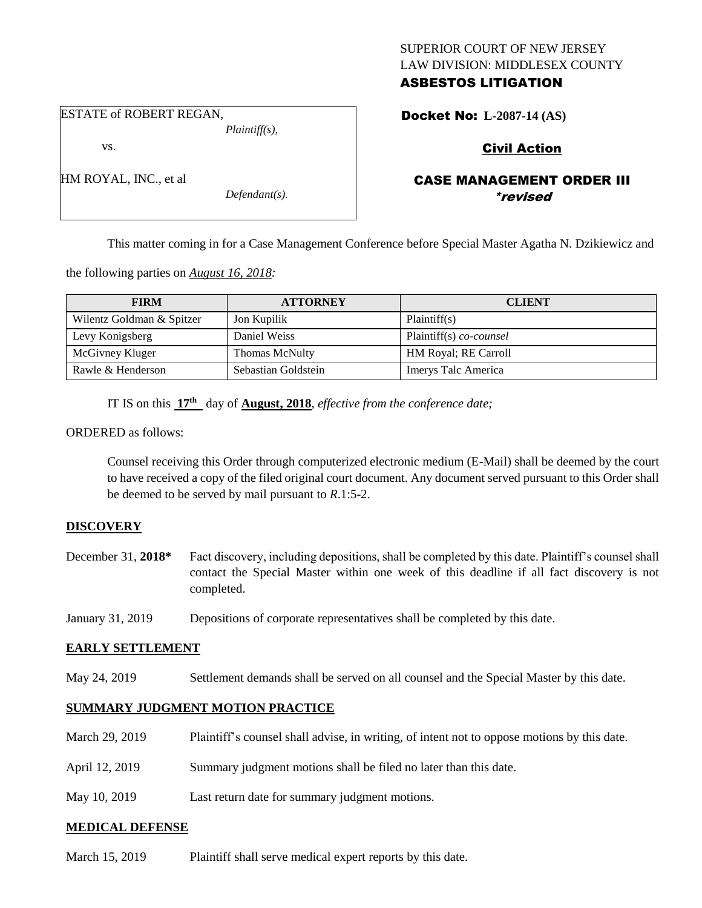## SUPERIOR COURT OF NEW JERSEY LAW DIVISION: MIDDLESEX COUNTY ASBESTOS LITIGATION

ESTATE of ROBERT REGAN,

vs.

HM ROYAL, INC., et al

*Plaintiff(s),*

*Defendant(s).*

Docket No: **L-2087-14 (AS)** 

# Civil Action

## CASE MANAGEMENT ORDER III \*revised

This matter coming in for a Case Management Conference before Special Master Agatha N. Dzikiewicz and

the following parties on *August 16, 2018:*

| <b>FIRM</b>               | <b>ATTORNEY</b>       | <b>CLIENT</b>                |
|---------------------------|-----------------------|------------------------------|
| Wilentz Goldman & Spitzer | Jon Kupilik           | Plaintiff(s)                 |
| Levy Konigsberg           | Daniel Weiss          | Plaintiff(s) co-counsel      |
| McGivney Kluger           | <b>Thomas McNulty</b> | <b>HM Royal</b> ; RE Carroll |
| Rawle & Henderson         | Sebastian Goldstein   | Imerys Talc America          |

IT IS on this **17th** day of **August, 2018**, *effective from the conference date;*

ORDERED as follows:

Counsel receiving this Order through computerized electronic medium (E-Mail) shall be deemed by the court to have received a copy of the filed original court document. Any document served pursuant to this Order shall be deemed to be served by mail pursuant to *R*.1:5-2.

#### **DISCOVERY**

- December 31, **2018\*** Fact discovery, including depositions, shall be completed by this date. Plaintiff's counsel shall contact the Special Master within one week of this deadline if all fact discovery is not completed.
- January 31, 2019 Depositions of corporate representatives shall be completed by this date.

#### **EARLY SETTLEMENT**

May 24, 2019 Settlement demands shall be served on all counsel and the Special Master by this date.

#### **SUMMARY JUDGMENT MOTION PRACTICE**

| March 29, 2019 | Plaintiff's counsel shall advise, in writing, of intent not to oppose motions by this date. |
|----------------|---------------------------------------------------------------------------------------------|
| April 12, 2019 | Summary judgment motions shall be filed no later than this date.                            |
| May 10, 2019   | Last return date for summary judgment motions.                                              |

#### **MEDICAL DEFENSE**

March 15, 2019 Plaintiff shall serve medical expert reports by this date.